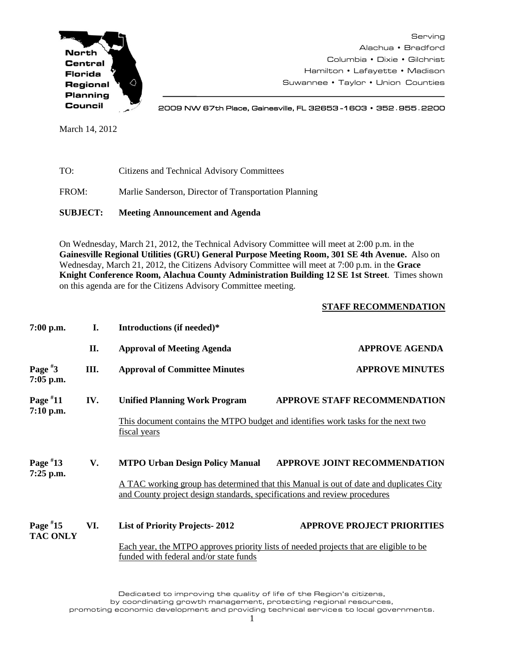

Serving Alachua • Bradford Columbia • Dixie • Gilchrist Hamilton • Lafayette • Madison Suwannee • Taylor • Union Counties

2009 NW 67th Place, Gainesville, FL 32653 -1603 • 352**.**955**.**2200

March 14, 2012

TO: Citizens and Technical Advisory Committees

FROM: Marlie Sanderson, Director of Transportation Planning

**SUBJECT: Meeting Announcement and Agenda**

On Wednesday, March 21, 2012, the Technical Advisory Committee will meet at 2:00 p.m. in the **Gainesville Regional Utilities (GRU) General Purpose Meeting Room, 301 SE 4th Avenue.** Also on Wednesday, March 21, 2012, the Citizens Advisory Committee will meet at 7:00 p.m. in the **Grace Knight Conference Room, Alachua County Administration Building 12 SE 1st Street**. Times shown on this agenda are for the Citizens Advisory Committee meeting.

## **STAFF RECOMMENDATION**

| $7:00$ p.m.                   | I.   | Introductions (if needed)*                                                                                                                                                                                                                           |                                     |  |
|-------------------------------|------|------------------------------------------------------------------------------------------------------------------------------------------------------------------------------------------------------------------------------------------------------|-------------------------------------|--|
|                               | II.  | <b>Approval of Meeting Agenda</b>                                                                                                                                                                                                                    | <b>APPROVE AGENDA</b>               |  |
| Page $*3$<br>$7:05$ p.m.      | III. | <b>Approval of Committee Minutes</b>                                                                                                                                                                                                                 | <b>APPROVE MINUTES</b>              |  |
| Page $*11$<br>$7:10$ p.m.     | IV.  | <b>Unified Planning Work Program</b><br>This document contains the MTPO budget and identifies work tasks for the next two<br>fiscal years                                                                                                            | <b>APPROVE STAFF RECOMMENDATION</b> |  |
| Page $*13$<br>$7:25$ p.m.     | V.   | <b>MTPO Urban Design Policy Manual</b><br><b>APPROVE JOINT RECOMMENDATION</b><br>A TAC working group has determined that this Manual is out of date and duplicates City<br>and County project design standards, specifications and review procedures |                                     |  |
| Page $*15$<br><b>TAC ONLY</b> | VI.  | <b>List of Priority Projects-2012</b><br>Each year, the MTPO approves priority lists of needed projects that are eligible to be<br>funded with federal and/or state funds                                                                            | <b>APPROVE PROJECT PRIORITIES</b>   |  |